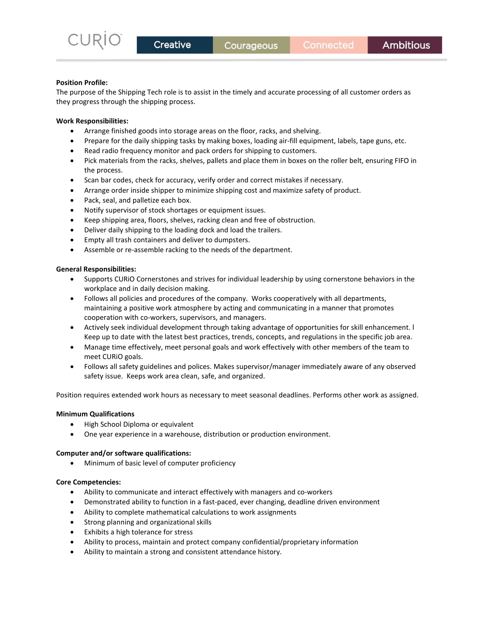### **Position Profile:**

The purpose of the Shipping Tech role is to assist in the timely and accurate processing of all customer orders as they progress through the shipping process.

### **Work Responsibilities:**

- Arrange finished goods into storage areas on the floor, racks, and shelving.
- Prepare for the daily shipping tasks by making boxes, loading air-fill equipment, labels, tape guns, etc.
- Read radio frequency monitor and pack orders for shipping to customers.
- Pick materials from the racks, shelves, pallets and place them in boxes on the roller belt, ensuring FIFO in the process.
- Scan bar codes, check for accuracy, verify order and correct mistakes if necessary.
- Arrange order inside shipper to minimize shipping cost and maximize safety of product.
- Pack, seal, and palletize each box.
- Notify supervisor of stock shortages or equipment issues.
- Keep shipping area, floors, shelves, racking clean and free of obstruction.
- Deliver daily shipping to the loading dock and load the trailers.
- Empty all trash containers and deliver to dumpsters.
- Assemble or re-assemble racking to the needs of the department.

## **General Responsibilities:**

- Supports CURiO Cornerstones and strives for individual leadership by using cornerstone behaviors in the workplace and in daily decision making.
- Follows all policies and procedures of the company. Works cooperatively with all departments, maintaining a positive work atmosphere by acting and communicating in a manner that promotes cooperation with co-workers, supervisors, and managers.
- Actively seek individual development through taking advantage of opportunities for skill enhancement. l Keep up to date with the latest best practices, trends, concepts, and regulations in the specific job area.
- Manage time effectively, meet personal goals and work effectively with other members of the team to meet CURiO goals.
- Follows all safety guidelines and polices. Makes supervisor/manager immediately aware of any observed safety issue. Keeps work area clean, safe, and organized.

Position requires extended work hours as necessary to meet seasonal deadlines. Performs other work as assigned.

#### **Minimum Qualifications**

- High School Diploma or equivalent
- One year experience in a warehouse, distribution or production environment.

#### **Computer and/or software qualifications:**

• Minimum of basic level of computer proficiency

### **Core Competencies:**

- Ability to communicate and interact effectively with managers and co-workers
- Demonstrated ability to function in a fast-paced, ever changing, deadline driven environment
- Ability to complete mathematical calculations to work assignments
- Strong planning and organizational skills
- Exhibits a high tolerance for stress
- Ability to process, maintain and protect company confidential/proprietary information
- Ability to maintain a strong and consistent attendance history.